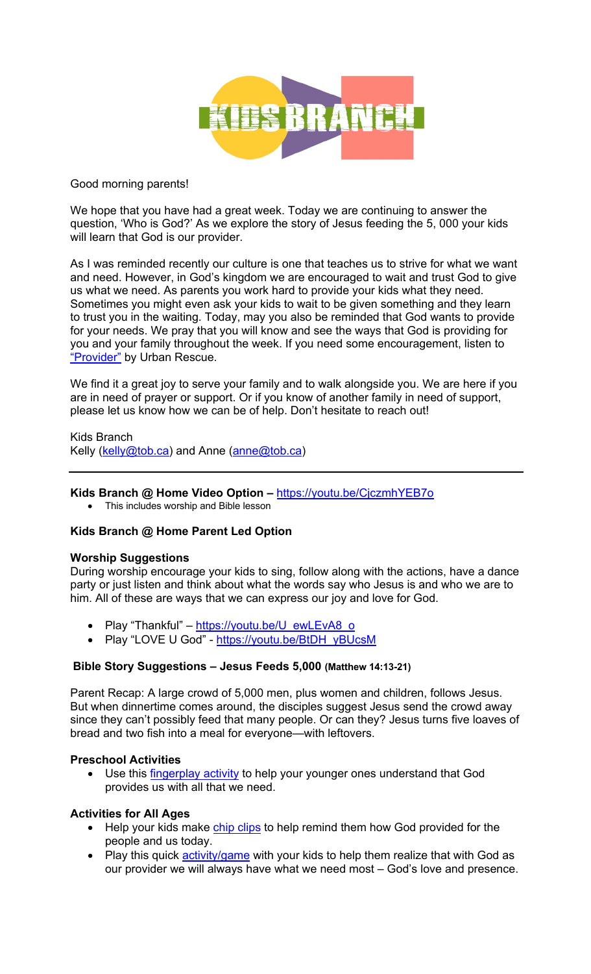

### Good morning parents!

We hope that you have had a great week. Today we are continuing to answer the question, 'Who is God?' As we explore the story of Jesus feeding the 5, 000 your kids will learn that God is our provider.

As I was reminded recently our culture is one that teaches us to strive for what we want and need. However, in God's kingdom we are encouraged to wait and trust God to give us what we need. As parents you work hard to provide your kids what they need. Sometimes you might even ask your kids to wait to be given something and they learn to trust you in the waiting. Today, may you also be reminded that God wants to provide for your needs. We pray that you will know and see the ways that God is providing for you and your family throughout the week. If you need some encouragement, listen to "Provider" by Urban Rescue.

We find it a great joy to serve your family and to walk alongside you. We are here if you are in need of prayer or support. Or if you know of another family in need of support, please let us know how we can be of help. Don't hesitate to reach out!

Kids Branch Kelly (kelly@tob.ca) and Anne (anne@tob.ca)

## **Kids Branch @ Home Video Option –** https://youtu.be/CjczmhYEB7o

• This includes worship and Bible lesson

# **Kids Branch @ Home Parent Led Option**

#### **Worship Suggestions**

During worship encourage your kids to sing, follow along with the actions, have a dance party or just listen and think about what the words say who Jesus is and who we are to him. All of these are ways that we can express our joy and love for God.

- Play "Thankful" https://youtu.be/U\_ewLEvA8\_o
- Play "LOVE U God" https://youtu.be/BtDH\_yBUcsM

#### **Bible Story Suggestions – Jesus Feeds 5,000 (Matthew 14:13-21)**

Parent Recap: A large crowd of 5,000 men, plus women and children, follows Jesus. But when dinnertime comes around, the disciples suggest Jesus send the crowd away since they can't possibly feed that many people. Or can they? Jesus turns five loaves of bread and two fish into a meal for everyone—with leftovers.

#### **Preschool Activities**

• Use this *fingerplay activity* to help your younger ones understand that God provides us with all that we need.

#### **Activities for All Ages**

- Help your kids make chip clips to help remind them how God provided for the people and us today.
- Play this quick **activity/game** with your kids to help them realize that with God as our provider we will always have what we need most – God's love and presence.